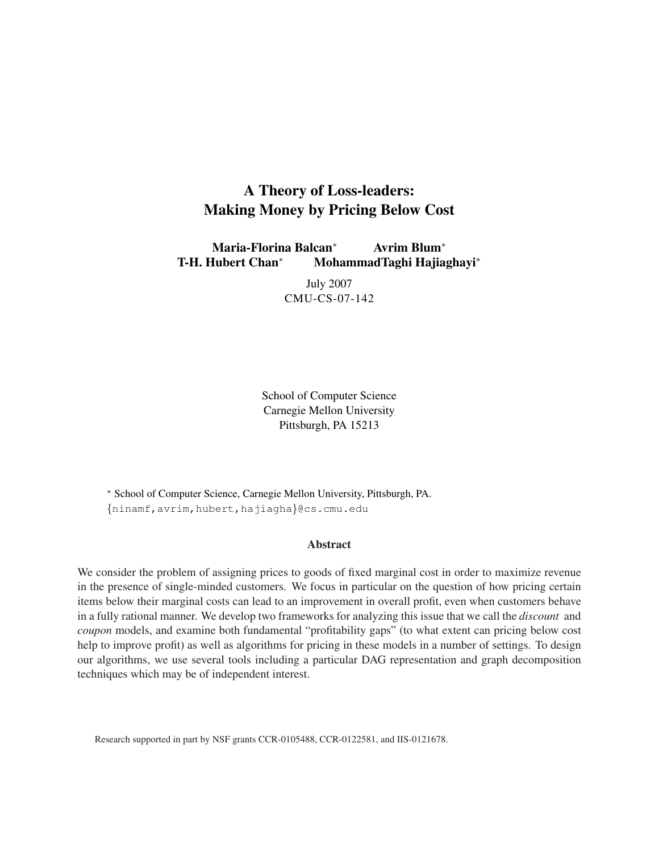# A Theory of Loss-leaders: Making Money by Pricing Below Cost

Maria-Florina Balcan<sup>∗</sup> Avrim Blum<sup>∗</sup> T-H. Hubert Chan<sup>∗</sup> MohammadTaghi Hajiaghayi<sup>∗</sup>

> July 2007 CMU-CS-07-142

School of Computer Science Carnegie Mellon University Pittsburgh, PA 15213

<sup>∗</sup> School of Computer Science, Carnegie Mellon University, Pittsburgh, PA. {ninamf,avrim,hubert,hajiagha}@cs.cmu.edu

#### Abstract

We consider the problem of assigning prices to goods of fixed marginal cost in order to maximize revenue in the presence of single-minded customers. We focus in particular on the question of how pricing certain items below their marginal costs can lead to an improvement in overall profit, even when customers behave in a fully rational manner. We develop two frameworks for analyzing this issue that we call the *discount* and *coupon* models, and examine both fundamental "profitability gaps" (to what extent can pricing below cost help to improve profit) as well as algorithms for pricing in these models in a number of settings. To design our algorithms, we use several tools including a particular DAG representation and graph decomposition techniques which may be of independent interest.

Research supported in part by NSF grants CCR-0105488, CCR-0122581, and IIS-0121678.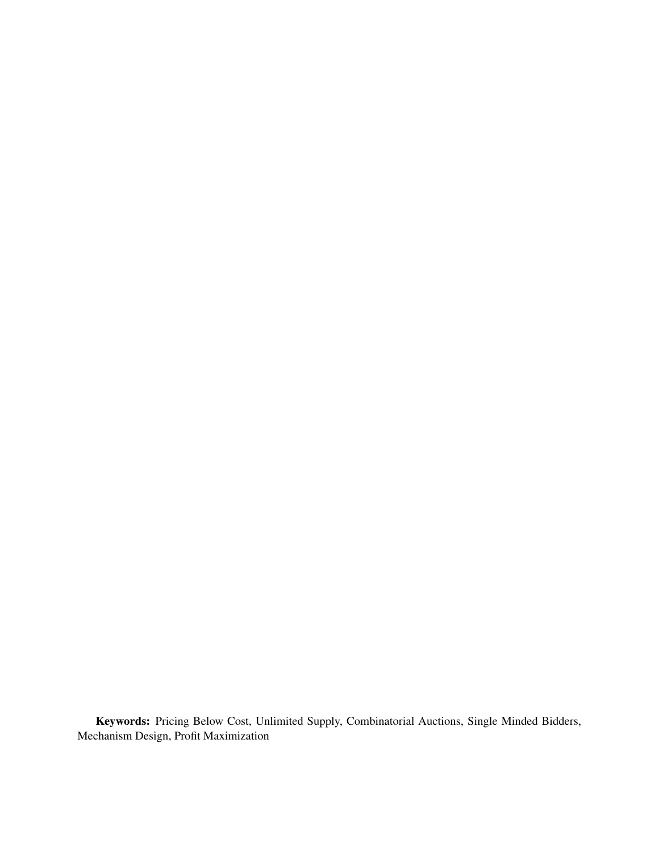Keywords: Pricing Below Cost, Unlimited Supply, Combinatorial Auctions, Single Minded Bidders, Mechanism Design, Profit Maximization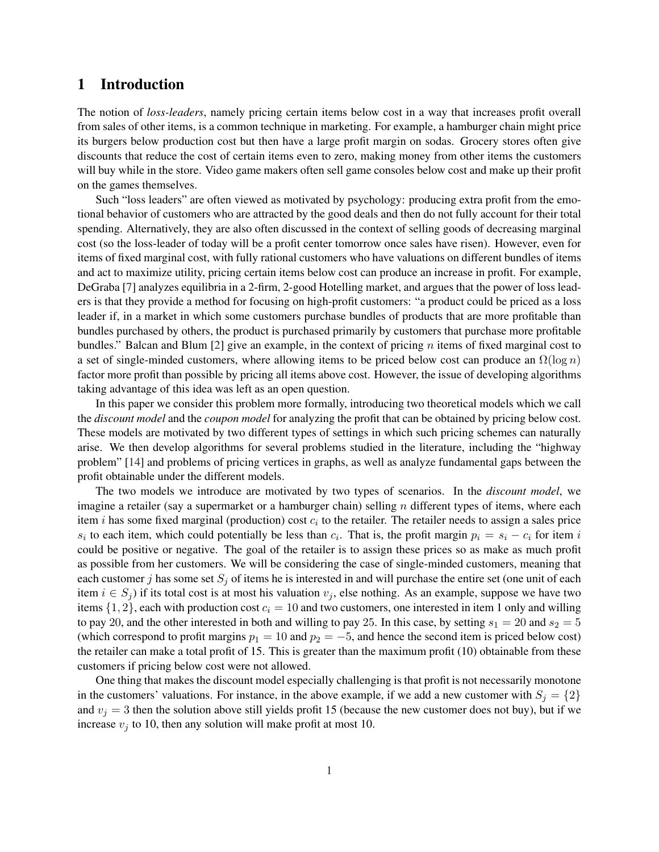### 1 Introduction

The notion of *loss-leaders*, namely pricing certain items below cost in a way that increases profit overall from sales of other items, is a common technique in marketing. For example, a hamburger chain might price its burgers below production cost but then have a large profit margin on sodas. Grocery stores often give discounts that reduce the cost of certain items even to zero, making money from other items the customers will buy while in the store. Video game makers often sell game consoles below cost and make up their profit on the games themselves.

Such "loss leaders" are often viewed as motivated by psychology: producing extra profit from the emotional behavior of customers who are attracted by the good deals and then do not fully account for their total spending. Alternatively, they are also often discussed in the context of selling goods of decreasing marginal cost (so the loss-leader of today will be a profit center tomorrow once sales have risen). However, even for items of fixed marginal cost, with fully rational customers who have valuations on different bundles of items and act to maximize utility, pricing certain items below cost can produce an increase in profit. For example, DeGraba [7] analyzes equilibria in a 2-firm, 2-good Hotelling market, and argues that the power of loss leaders is that they provide a method for focusing on high-profit customers: "a product could be priced as a loss leader if, in a market in which some customers purchase bundles of products that are more profitable than bundles purchased by others, the product is purchased primarily by customers that purchase more profitable bundles." Balcan and Blum  $[2]$  give an example, in the context of pricing n items of fixed marginal cost to a set of single-minded customers, where allowing items to be priced below cost can produce an  $\Omega(\log n)$ factor more profit than possible by pricing all items above cost. However, the issue of developing algorithms taking advantage of this idea was left as an open question.

In this paper we consider this problem more formally, introducing two theoretical models which we call the *discount model* and the *coupon model* for analyzing the profit that can be obtained by pricing below cost. These models are motivated by two different types of settings in which such pricing schemes can naturally arise. We then develop algorithms for several problems studied in the literature, including the "highway problem" [14] and problems of pricing vertices in graphs, as well as analyze fundamental gaps between the profit obtainable under the different models.

The two models we introduce are motivated by two types of scenarios. In the *discount model*, we imagine a retailer (say a supermarket or a hamburger chain) selling  $n$  different types of items, where each item *i* has some fixed marginal (production) cost  $c_i$  to the retailer. The retailer needs to assign a sales price  $s_i$  to each item, which could potentially be less than  $c_i$ . That is, the profit margin  $p_i = s_i - c_i$  for item i could be positive or negative. The goal of the retailer is to assign these prices so as make as much profit as possible from her customers. We will be considering the case of single-minded customers, meaning that each customer j has some set  $S_j$  of items he is interested in and will purchase the entire set (one unit of each item  $i \in S_j$ ) if its total cost is at most his valuation  $v_j$ , else nothing. As an example, suppose we have two items  $\{1, 2\}$ , each with production cost  $c_i = 10$  and two customers, one interested in item 1 only and willing to pay 20, and the other interested in both and willing to pay 25. In this case, by setting  $s_1 = 20$  and  $s_2 = 5$ (which correspond to profit margins  $p_1 = 10$  and  $p_2 = -5$ , and hence the second item is priced below cost) the retailer can make a total profit of 15. This is greater than the maximum profit (10) obtainable from these customers if pricing below cost were not allowed.

One thing that makes the discount model especially challenging is that profit is not necessarily monotone in the customers' valuations. For instance, in the above example, if we add a new customer with  $S_j = \{2\}$ and  $v_i = 3$  then the solution above still yields profit 15 (because the new customer does not buy), but if we increase  $v_j$  to 10, then any solution will make profit at most 10.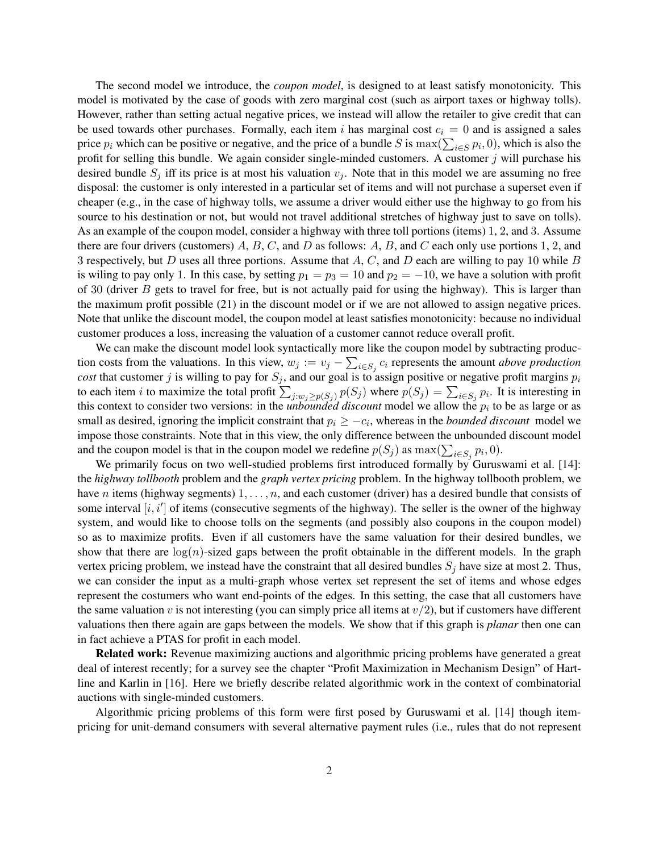The second model we introduce, the *coupon model*, is designed to at least satisfy monotonicity. This model is motivated by the case of goods with zero marginal cost (such as airport taxes or highway tolls). However, rather than setting actual negative prices, we instead will allow the retailer to give credit that can be used towards other purchases. Formally, each item i has marginal cost  $c_i = 0$  and is assigned a sales be used towards other purchases. Formally, each help  $\ell$  has marginal cost  $c_i = 0$  and is assigned a safes price  $p_i$  which can be positive or negative, and the price of a bundle S is  $\max(\sum_{i \in S} p_i, 0)$ , which is also th profit for selling this bundle. We again consider single-minded customers. A customer  $j$  will purchase his desired bundle  $S_i$  iff its price is at most his valuation  $v_i$ . Note that in this model we are assuming no free disposal: the customer is only interested in a particular set of items and will not purchase a superset even if cheaper (e.g., in the case of highway tolls, we assume a driver would either use the highway to go from his source to his destination or not, but would not travel additional stretches of highway just to save on tolls). As an example of the coupon model, consider a highway with three toll portions (items) 1, 2, and 3. Assume there are four drivers (customers) A, B, C, and D as follows: A, B, and C each only use portions 1, 2, and 3 respectively, but  $D$  uses all three portions. Assume that  $A, C$ , and  $D$  each are willing to pay 10 while  $B$ is wiling to pay only 1. In this case, by setting  $p_1 = p_3 = 10$  and  $p_2 = -10$ , we have a solution with profit of 30 (driver  $B$  gets to travel for free, but is not actually paid for using the highway). This is larger than the maximum profit possible (21) in the discount model or if we are not allowed to assign negative prices. Note that unlike the discount model, the coupon model at least satisfies monotonicity: because no individual customer produces a loss, increasing the valuation of a customer cannot reduce overall profit.

We can make the discount model look syntactically more like the coupon model by subtracting production costs from the valuations. In this view,  $w_j := v_j - \sum_{i \in S_j} c_i$  represents the amount *above production cost* that customer j is willing to pay for  $S_j$ , and our goal is to assign positive or negative profit margins  $p_i$ to each item *i* to maximize the total profit  $\sum_{j:w_j\geq p(S_j)} p(S_j)$  where  $p(S_j) = \sum_{i\in S_j} p_i$ . It is interesting in this context to consider two versions: in the *unbounded discount* model we allow the  $p_i$  to be as large or as small as desired, ignoring the implicit constraint that  $p_i \geq -c_i$ , whereas in the *bounded discount* model we impose those constraints. Note that in this view, the only difference between the unbounded discount model and the coupon model is that in the coupon model we redefine  $p(S_j)$  as  $\max(\sum_{i \in S_j} p_i, 0)$ .

We primarily focus on two well-studied problems first introduced formally by Guruswami et al. [14]: the *highway tollbooth* problem and the *graph vertex pricing* problem. In the highway tollbooth problem, we have n items (highway segments)  $1, \ldots, n$ , and each customer (driver) has a desired bundle that consists of some interval  $[i, i']$  of items (consecutive segments of the highway). The seller is the owner of the highway system, and would like to choose tolls on the segments (and possibly also coupons in the coupon model) so as to maximize profits. Even if all customers have the same valuation for their desired bundles, we show that there are  $log(n)$ -sized gaps between the profit obtainable in the different models. In the graph vertex pricing problem, we instead have the constraint that all desired bundles  $S_i$  have size at most 2. Thus, we can consider the input as a multi-graph whose vertex set represent the set of items and whose edges represent the costumers who want end-points of the edges. In this setting, the case that all customers have the same valuation v is not interesting (you can simply price all items at  $v/2$ ), but if customers have different valuations then there again are gaps between the models. We show that if this graph is *planar* then one can in fact achieve a PTAS for profit in each model.

**Related work:** Revenue maximizing auctions and algorithmic pricing problems have generated a great deal of interest recently; for a survey see the chapter "Profit Maximization in Mechanism Design" of Hartline and Karlin in [16]. Here we briefly describe related algorithmic work in the context of combinatorial auctions with single-minded customers.

Algorithmic pricing problems of this form were first posed by Guruswami et al. [14] though itempricing for unit-demand consumers with several alternative payment rules (i.e., rules that do not represent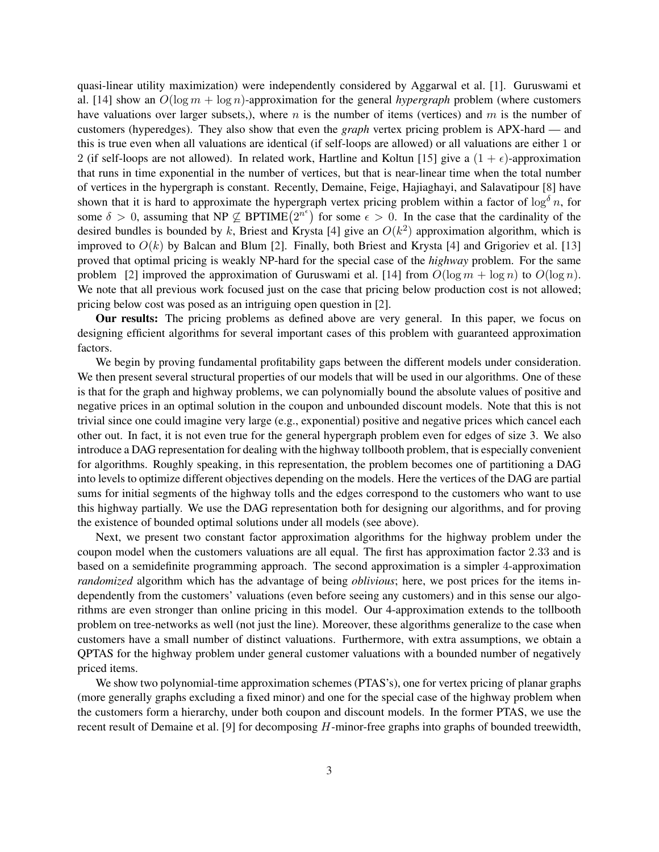quasi-linear utility maximization) were independently considered by Aggarwal et al. [1]. Guruswami et al. [14] show an O(log m + log n)-approximation for the general *hypergraph* problem (where customers have valuations over larger subsets,), where n is the number of items (vertices) and  $m$  is the number of customers (hyperedges). They also show that even the *graph* vertex pricing problem is APX-hard — and this is true even when all valuations are identical (if self-loops are allowed) or all valuations are either 1 or 2 (if self-loops are not allowed). In related work, Hartline and Koltun [15] give a  $(1 + \epsilon)$ -approximation that runs in time exponential in the number of vertices, but that is near-linear time when the total number of vertices in the hypergraph is constant. Recently, Demaine, Feige, Hajiaghayi, and Salavatipour [8] have shown that it is hard to approximate the hypergraph vertex pricing problem within a factor of  $\log^{\delta} n$ , for shown that it is hard to approximate the hypergraph vertex pricing problem within a ractor of log  $n$ , for some  $\delta > 0$ , assuming that NP  $\nsubseteq$  BPTIME $(2^{n^{\epsilon}})$  for some  $\epsilon > 0$ . In the case that the cardinality of the desired bundles is bounded by k, Briest and Krysta [4] give an  $O(k^2)$  approximation algorithm, which is improved to  $O(k)$  by Balcan and Blum [2]. Finally, both Briest and Krysta [4] and Grigoriev et al. [13] proved that optimal pricing is weakly NP-hard for the special case of the *highway* problem. For the same problem [2] improved the approximation of Guruswami et al. [14] from  $O(\log m + \log n)$  to  $O(\log n)$ . We note that all previous work focused just on the case that pricing below production cost is not allowed; pricing below cost was posed as an intriguing open question in [2].

Our results: The pricing problems as defined above are very general. In this paper, we focus on designing efficient algorithms for several important cases of this problem with guaranteed approximation factors.

We begin by proving fundamental profitability gaps between the different models under consideration. We then present several structural properties of our models that will be used in our algorithms. One of these is that for the graph and highway problems, we can polynomially bound the absolute values of positive and negative prices in an optimal solution in the coupon and unbounded discount models. Note that this is not trivial since one could imagine very large (e.g., exponential) positive and negative prices which cancel each other out. In fact, it is not even true for the general hypergraph problem even for edges of size 3. We also introduce a DAG representation for dealing with the highway tollbooth problem, that is especially convenient for algorithms. Roughly speaking, in this representation, the problem becomes one of partitioning a DAG into levels to optimize different objectives depending on the models. Here the vertices of the DAG are partial sums for initial segments of the highway tolls and the edges correspond to the customers who want to use this highway partially. We use the DAG representation both for designing our algorithms, and for proving the existence of bounded optimal solutions under all models (see above).

Next, we present two constant factor approximation algorithms for the highway problem under the coupon model when the customers valuations are all equal. The first has approximation factor 2.33 and is based on a semidefinite programming approach. The second approximation is a simpler 4-approximation *randomized* algorithm which has the advantage of being *oblivious*; here, we post prices for the items independently from the customers' valuations (even before seeing any customers) and in this sense our algorithms are even stronger than online pricing in this model. Our 4-approximation extends to the tollbooth problem on tree-networks as well (not just the line). Moreover, these algorithms generalize to the case when customers have a small number of distinct valuations. Furthermore, with extra assumptions, we obtain a QPTAS for the highway problem under general customer valuations with a bounded number of negatively priced items.

We show two polynomial-time approximation schemes (PTAS's), one for vertex pricing of planar graphs (more generally graphs excluding a fixed minor) and one for the special case of the highway problem when the customers form a hierarchy, under both coupon and discount models. In the former PTAS, we use the recent result of Demaine et al. [9] for decomposing H-minor-free graphs into graphs of bounded treewidth,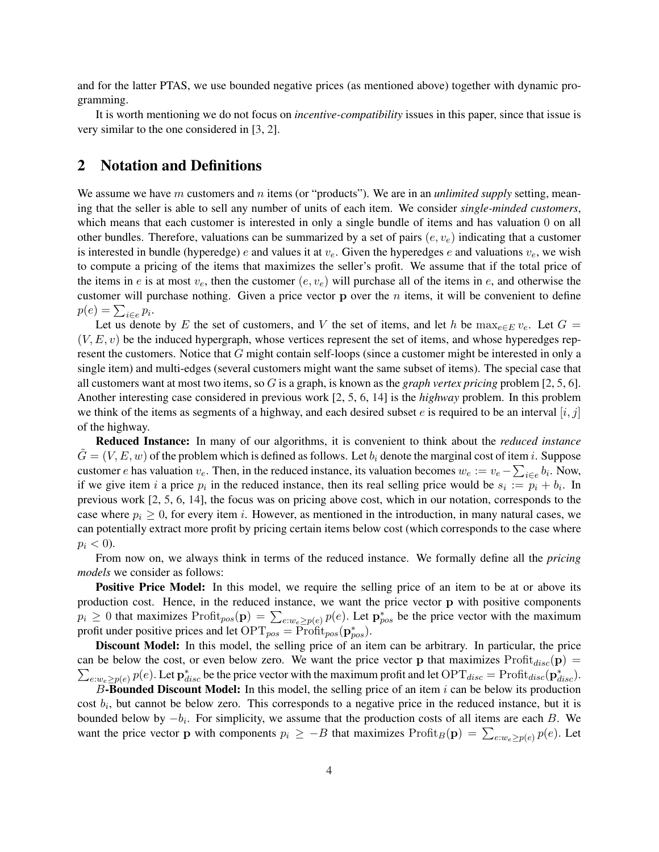and for the latter PTAS, we use bounded negative prices (as mentioned above) together with dynamic programming.

It is worth mentioning we do not focus on *incentive-compatibility* issues in this paper, since that issue is very similar to the one considered in [3, 2].

# 2 Notation and Definitions

We assume we have m customers and n items (or "products"). We are in an *unlimited supply* setting, meaning that the seller is able to sell any number of units of each item. We consider *single-minded customers*, which means that each customer is interested in only a single bundle of items and has valuation 0 on all other bundles. Therefore, valuations can be summarized by a set of pairs  $(e, v_e)$  indicating that a customer is interested in bundle (hyperedge) e and values it at  $v_e$ . Given the hyperedges e and valuations  $v_e$ , we wish to compute a pricing of the items that maximizes the seller's profit. We assume that if the total price of the items in e is at most  $v_e$ , then the customer  $(e, v_e)$  will purchase all of the items in e, and otherwise the customer will purchase nothing. Given a price vector  $p$  over the  $n$  items, it will be convenient to define customer will plant  $p(e) = \sum_{i \in e} p_i$ .

Let us denote by E the set of customers, and V the set of items, and let h be  $\max_{e \in E} v_e$ . Let  $G =$  $(V, E, v)$  be the induced hypergraph, whose vertices represent the set of items, and whose hyperedges represent the customers. Notice that G might contain self-loops (since a customer might be interested in only a single item) and multi-edges (several customers might want the same subset of items). The special case that all customers want at most two items, so G is a graph, is known as the *graph vertex pricing* problem [2, 5, 6]. Another interesting case considered in previous work [2, 5, 6, 14] is the *highway* problem. In this problem we think of the items as segments of a highway, and each desired subset e is required to be an interval  $[i, j]$ of the highway.

Reduced Instance: In many of our algorithms, it is convenient to think about the *reduced instance*  $\tilde{G} = (V, E, w)$  of the problem which is defined as follows. Let  $b_i$  denote the marginal cost of item i. Suppose customer e has valuation  $v_e$ . Then, in the reduced instance, its valuation becomes  $w_e := v_e - \sum_{i \in e} b_i$ . Now, if we give item i a price  $p_i$  in the reduced instance, then its real selling price would be  $s_i := p_i + b_i$ . In previous work [2, 5, 6, 14], the focus was on pricing above cost, which in our notation, corresponds to the case where  $p_i \geq 0$ , for every item i. However, as mentioned in the introduction, in many natural cases, we can potentially extract more profit by pricing certain items below cost (which corresponds to the case where  $p_i < 0$ ).

From now on, we always think in terms of the reduced instance. We formally define all the *pricing models* we consider as follows:

**Positive Price Model:** In this model, we require the selling price of an item to be at or above its production cost. Hence, in the reduced instance, we want the price vector p with positive components production cost. Hence, in the reduced instance, we want the price vector **p** with positive components  $p_i \ge 0$  that maximizes  $\text{Profit}_{pos}(\mathbf{p}) = \sum_{e:we \ge p(e)} p(e)$ . Let  $\mathbf{p}_{pos}^*$  be the price vector with the maximum profit under positive prices and let  $\text{OPT}_{pos} = \text{Profit}_{pos}(\mathbf{p}_{pos}^*)$ .

Discount Model: In this model, the selling price of an item can be arbitrary. In particular, the price can be below the cost, or even below zero. We want the price vector **p** that maximizes Profit  $disc(\mathbf{p}) = \sum_{k=0}^{\infty}$  $e: w_e \ge p(e)$   $p(e)$ . Let  $\mathbf{p}_{disc}^*$  be the price vector with the maximum profit and let  $\text{OPT}_{disc} = \text{Profit}_{disc}(\mathbf{p}_{disc}^*)$ .

B-Bounded Discount Model: In this model, the selling price of an item i can be below its production cost  $b_i$ , but cannot be below zero. This corresponds to a negative price in the reduced instance, but it is bounded below by  $-b_i$ . For simplicity, we assume that the production costs of all items are each B. We bounded below by  $-v_i$ . For simplicity, we assume that the production costs of an items are each *D*. We want the price vector **p** with components  $p_i \ge -B$  that maximizes  $\text{Profit}_B(\mathbf{p}) = \sum_{e:w_e \ge p(e)} p(e)$ . Let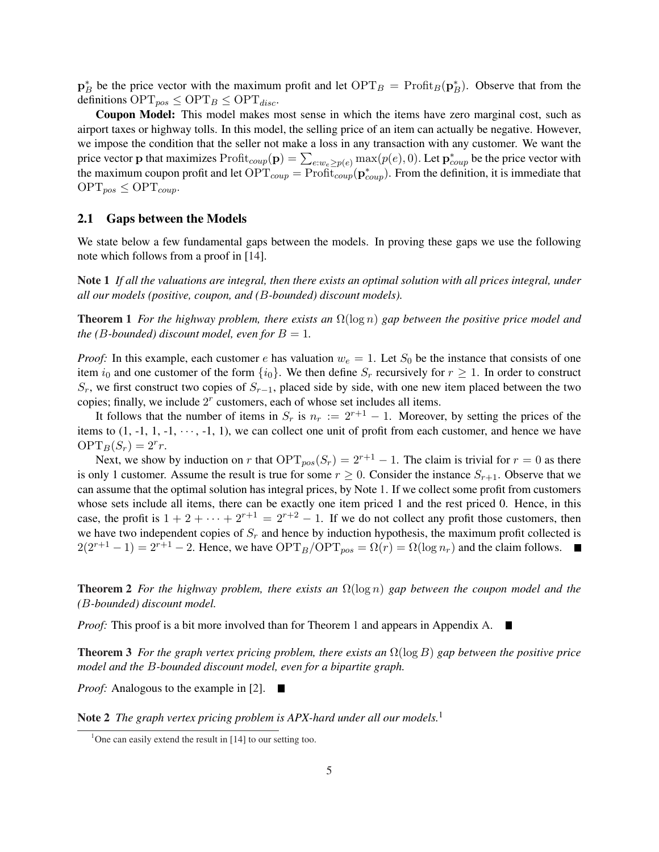$\mathbf{p}_B^*$  be the price vector with the maximum profit and let  $\text{OPT}_B = \text{Profit}_B(\mathbf{p}_B^*)$ . Observe that from the definitions  $\text{OPT}_{pos} \leq \text{OPT}_B \leq \text{OPT}_{disc}$ .

Coupon Model: This model makes most sense in which the items have zero marginal cost, such as airport taxes or highway tolls. In this model, the selling price of an item can actually be negative. However, we impose the condition that the seller not make a loss in any transaction with any customer. We want the we impose the condition that the sener hot make a loss in any transaction with any customer. We want the price vector p that maximizes  $Profit_{coup}(p) = \sum_{e:w_e \geq p(e)} max(p(e), 0)$ . Let  $p^*_{coup}$  be the price vector with the maximum coupon profit and let  $\text{OPT}_{coup} = \text{Profit}_{coup}(\mathbf{p}_{coup}^*)$ . From the definition, it is immediate that  $\text{OPT}_{pos} \leq \text{OPT}_{coup}.$ 

#### 2.1 Gaps between the Models

We state below a few fundamental gaps between the models. In proving these gaps we use the following note which follows from a proof in [14].

Note 1 *If all the valuations are integral, then there exists an optimal solution with all prices integral, under all our models (positive, coupon, and (*B*-bounded) discount models).*

**Theorem 1** *For the highway problem, there exists an*  $\Omega(\log n)$  *gap between the positive price model and the (B-bounded) discount model, even for*  $B = 1$ *.* 

*Proof:* In this example, each customer e has valuation  $w_e = 1$ . Let  $S_0$  be the instance that consists of one item  $i_0$  and one customer of the form  $\{i_0\}$ . We then define  $S_r$  recursively for  $r \geq 1$ . In order to construct  $S_r$ , we first construct two copies of  $S_{r-1}$ , placed side by side, with one new item placed between the two copies; finally, we include  $2<sup>r</sup>$  customers, each of whose set includes all items.

It follows that the number of items in  $S_r$  is  $n_r := 2^{r+1} - 1$ . Moreover, by setting the prices of the items to  $(1, -1, 1, -1, \dots, -1, 1)$ , we can collect one unit of profit from each customer, and hence we have  $\text{OPT}_B(S_r) = 2^r r.$ 

Next, we show by induction on r that  $\text{OPT}_{pos}(S_r) = 2^{r+1} - 1$ . The claim is trivial for  $r = 0$  as there is only 1 customer. Assume the result is true for some  $r \geq 0$ . Consider the instance  $S_{r+1}$ . Observe that we can assume that the optimal solution has integral prices, by Note 1. If we collect some profit from customers whose sets include all items, there can be exactly one item priced 1 and the rest priced 0. Hence, in this case, the profit is  $1 + 2 + \cdots + 2^{r+1} = 2^{r+2} - 1$ . If we do not collect any profit those customers, then we have two independent copies of  $S_r$  and hence by induction hypothesis, the maximum profit collected is  $2(2^{r+1}-1) = 2^{r+1}-2$ . Hence, we have  $\text{OPT}_B/\text{OPT}_{pos} = \Omega(r) = \Omega(\log n_r)$  and the claim follows.

Theorem 2 *For the highway problem, there exists an* Ω(log n) *gap between the coupon model and the (*B*-bounded) discount model.*

*Proof:* This proof is a bit more involved than for Theorem 1 and appears in Appendix A.  $\blacksquare$ 

Theorem 3 *For the graph vertex pricing problem, there exists an* Ω(log B) *gap between the positive price model and the* B*-bounded discount model, even for a bipartite graph.*

*Proof:* Analogous to the example in [2]. ■

Note 2 *The graph vertex pricing problem is APX-hard under all our models.*<sup>1</sup>

<sup>&</sup>lt;sup>1</sup>One can easily extend the result in  $[14]$  to our setting too.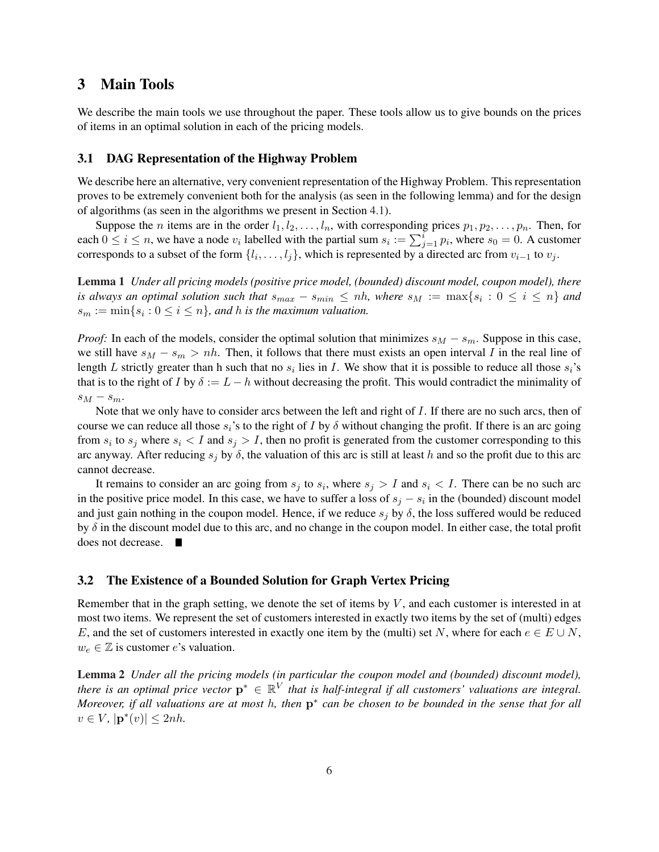### 3 Main Tools

We describe the main tools we use throughout the paper. These tools allow us to give bounds on the prices of items in an optimal solution in each of the pricing models.

#### 3.1 DAG Representation of the Highway Problem

We describe here an alternative, very convenient representation of the Highway Problem. This representation proves to be extremely convenient both for the analysis (as seen in the following lemma) and for the design of algorithms (as seen in the algorithms we present in Section 4.1).

Suppose the *n* items are in the order  $l_1, l_2, \ldots, l_n$ , with corresponding prices  $p_1, p_2, \ldots, p_n$ . Then, for suppose the *n* nems are in the order  $i_1, i_2, \ldots, i_n$ , while corresponding prices  $p_1, p_2, \ldots, p_n$ . Then, for each  $0 \le i \le n$ , we have a node  $v_i$  labelled with the partial sum  $s_i := \sum_{j=1}^i p_i$ , where  $s_0 = 0$ . A customer corresponds to a subset of the form  $\{l_i, \ldots, l_j\}$ , which is represented by a directed arc from  $v_{i-1}$  to  $v_j$ .

Lemma 1 *Under all pricing models (positive price model, (bounded) discount model, coupon model), there is always an optimal solution such that*  $s_{max} - s_{min} \le nh$ , where  $s_M := \max\{s_i : 0 \le i \le n\}$  and  $s_m := \min\{s_i : 0 \le i \le n\}$ , and h is the maximum valuation.

*Proof:* In each of the models, consider the optimal solution that minimizes  $s_M - s_m$ . Suppose in this case, we still have  $s_M - s_m > nh$ . Then, it follows that there must exists an open interval I in the real line of length L strictly greater than h such that no  $s_i$  lies in I. We show that it is possible to reduce all those  $s_i$ 's that is to the right of I by  $\delta := L - h$  without decreasing the profit. This would contradict the minimality of  $s_M - s_m$ .

Note that we only have to consider arcs between the left and right of I. If there are no such arcs, then of course we can reduce all those  $s_i$ 's to the right of I by  $\delta$  without changing the profit. If there is an arc going from  $s_i$  to  $s_j$  where  $s_i < I$  and  $s_j > I$ , then no profit is generated from the customer corresponding to this arc anyway. After reducing  $s_j$  by  $\delta$ , the valuation of this arc is still at least h and so the profit due to this arc cannot decrease.

It remains to consider an arc going from  $s_j$  to  $s_i$ , where  $s_j > I$  and  $s_i < I$ . There can be no such arc in the positive price model. In this case, we have to suffer a loss of  $s_j - s_i$  in the (bounded) discount model and just gain nothing in the coupon model. Hence, if we reduce  $s_i$  by  $\delta$ , the loss suffered would be reduced by  $\delta$  in the discount model due to this arc, and no change in the coupon model. In either case, the total profit does not decrease. 

#### 3.2 The Existence of a Bounded Solution for Graph Vertex Pricing

Remember that in the graph setting, we denote the set of items by  $V$ , and each customer is interested in at most two items. We represent the set of customers interested in exactly two items by the set of (multi) edges E, and the set of customers interested in exactly one item by the (multi) set N, where for each  $e \in E \cup N$ ,  $w_e \in \mathbb{Z}$  is customer e's valuation.

Lemma 2 *Under all the pricing models (in particular the coupon model and (bounded) discount model), there is an optimal price vector*  $p^* \in \mathbb{R}^V$  *that is half-integral if all customers' valuations are integral. Moreover, if all valuations are at most h, then*  $p^*$  can be chosen to be bounded in the sense that for all  $v \in V$ ,  $|\mathbf{p}^*(v)| \leq 2nh$ .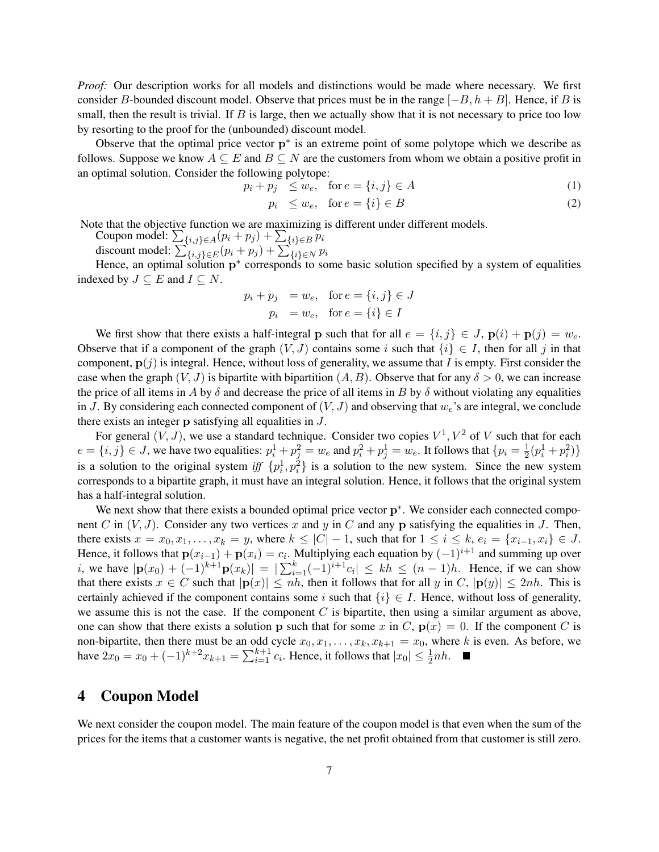*Proof:* Our description works for all models and distinctions would be made where necessary. We first consider B-bounded discount model. Observe that prices must be in the range  $[-B, h + B]$ . Hence, if B is small, then the result is trivial. If  $B$  is large, then we actually show that it is not necessary to price too low by resorting to the proof for the (unbounded) discount model.

Observe that the optimal price vector  $p^*$  is an extreme point of some polytope which we describe as follows. Suppose we know  $A \subseteq E$  and  $B \subseteq N$  are the customers from whom we obtain a positive profit in an optimal solution. Consider the following polytope:

$$
p_i + p_j \le w_e, \quad \text{for } e = \{i, j\} \in A \tag{1}
$$

$$
p_i \le w_e, \quad \text{for } e = \{i\} \in B \tag{2}
$$

Note that the objective function we are maximizing is different under different models.

te that the objective function we are maximizing<br>Coupon model:  $\sum_{\{i,j\} \in A} (p_i + p_j) + \sum_{\{i\} \in B} p_i$ 

Coupon model:  $\sum_{\{i,j\} \in A} (p_i + p_j) + \sum_{\{i\} \in B} p_i$ <br>discount model:  $\sum_{\{i,j\} \in E} (p_i + p_j) + \sum_{\{i\} \in N} p_i$ 

Hence, an optimal solution  $p^*$  corresponds to some basic solution specified by a system of equalities indexed by  $J \subseteq E$  and  $I \subseteq N$ .

$$
p_i + p_j = w_e, \text{ for } e = \{i, j\} \in J
$$

$$
p_i = w_e, \text{ for } e = \{i\} \in I
$$

We first show that there exists a half-integral p such that for all  $e = \{i, j\} \in J$ ,  $p(i) + p(j) = w_e$ . Observe that if a component of the graph  $(V, J)$  contains some i such that  $\{i\} \in I$ , then for all j in that component,  $p(j)$  is integral. Hence, without loss of generality, we assume that I is empty. First consider the case when the graph  $(V, J)$  is bipartite with bipartition  $(A, B)$ . Observe that for any  $\delta > 0$ , we can increase the price of all items in A by  $\delta$  and decrease the price of all items in B by  $\delta$  without violating any equalities in J. By considering each connected component of  $(V, J)$  and observing that  $w_e$ 's are integral, we conclude there exists an integer p satisfying all equalities in J.

For general  $(V, J)$ , we use a standard technique. Consider two copies  $V^1, V^2$  of V such that for each  $e = \{i, j\} \in J$ , we have two equalities:  $p_i^1 + p_j^2 = w_e$  and  $p_i^2 + p_j^1 = w_e$ . It follows that  $\{p_i = \frac{1}{2}\}$  $\frac{1}{2}(p_i^1+p_i^2)\}$ is a solution to the original system if  $\{p_i^1, p_i^2\}$  is a solution to the new system. Since the new system corresponds to a bipartite graph, it must have an integral solution. Hence, it follows that the original system has a half-integral solution.

We next show that there exists a bounded optimal price vector  $p^*$ . We consider each connected component C in  $(V, J)$ . Consider any two vertices x and y in C and any p satisfying the equalities in J. Then, there exists  $x = x_0, x_1, \ldots, x_k = y$ , where  $k \leq |C| - 1$ , such that for  $1 \leq i \leq k$ ,  $e_i = \{x_{i-1}, x_i\} \in J$ . Hence, it follows that  $p(x_{i-1}) + p(x_i) = c_i$ . Multiplying each equation by  $(-1)^{i+1}$  and summing up over Frence, it follows that  $\mathbf{p}(x_{i-1}) + \mathbf{p}(x_i) = c_i$ . Multiplying each equation by  $(-1)$  and summing up over <br>*i*, we have  $|\mathbf{p}(x_0) + (-1)^{k+1}\mathbf{p}(x_k)| = |\sum_{i=1}^k (-1)^{i+1}c_i| \le kh \le (n-1)h$ . Hence, if we can show that there exists  $x \in C$  such that  $|\mathbf{p}(x)| \le nh$ , then it follows that for all y in C,  $|\mathbf{p}(y)| \le 2nh$ . This is certainly achieved if the component contains some i such that  $\{i\} \in I$ . Hence, without loss of generality, we assume this is not the case. If the component  $C$  is bipartite, then using a similar argument as above, one can show that there exists a solution p such that for some x in C,  $p(x) = 0$ . If the component C is non-bipartite, then there must be an odd cycle  $x_0, x_1, \ldots, x_k, x_{k+1} = x_0$ , where k is even. As before, we have  $2x_0 = x_0 + (-1)^{k+2}x_{k+1} = \sum_{i=1}^{k+1}$  $_{i=1}^{k+1} c_i$ . Hence, it follows that  $|x_0| \leq \frac{1}{2}nh$ .

### 4 Coupon Model

We next consider the coupon model. The main feature of the coupon model is that even when the sum of the prices for the items that a customer wants is negative, the net profit obtained from that customer is still zero.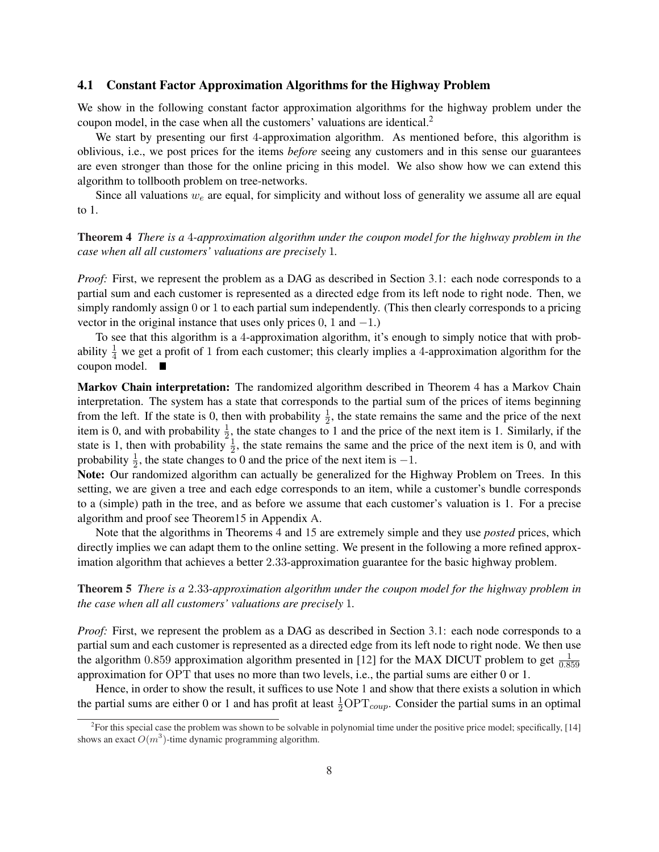#### 4.1 Constant Factor Approximation Algorithms for the Highway Problem

We show in the following constant factor approximation algorithms for the highway problem under the coupon model, in the case when all the customers' valuations are identical.<sup>2</sup>

We start by presenting our first 4-approximation algorithm. As mentioned before, this algorithm is oblivious, i.e., we post prices for the items *before* seeing any customers and in this sense our guarantees are even stronger than those for the online pricing in this model. We also show how we can extend this algorithm to tollbooth problem on tree-networks.

Since all valuations  $w_e$  are equal, for simplicity and without loss of generality we assume all are equal to 1.

#### Theorem 4 *There is a* 4*-approximation algorithm under the coupon model for the highway problem in the case when all all customers' valuations are precisely* 1*.*

*Proof:* First, we represent the problem as a DAG as described in Section 3.1: each node corresponds to a partial sum and each customer is represented as a directed edge from its left node to right node. Then, we simply randomly assign 0 or 1 to each partial sum independently. (This then clearly corresponds to a pricing vector in the original instance that uses only prices  $0, 1$  and  $-1$ .)

To see that this algorithm is a 4-approximation algorithm, it's enough to simply notice that with probability  $\frac{1}{4}$  we get a profit of 1 from each customer; this clearly implies a 4-approximation algorithm for the coupon model.

Markov Chain interpretation: The randomized algorithm described in Theorem 4 has a Markov Chain interpretation. The system has a state that corresponds to the partial sum of the prices of items beginning from the left. If the state is 0, then with probability  $\frac{1}{2}$ , the state remains the same and the price of the next item is 0, and with probability  $\frac{1}{2}$ , the state changes to 1 and the price of the next item is 1. Similarly, if the state is 1, then with probability  $\frac{1}{2}$ , the state remains the same and the price of the next item is 0, and with probability  $\frac{1}{2}$ , the state changes to 0 and the price of the next item is  $-1$ .

Note: Our randomized algorithm can actually be generalized for the Highway Problem on Trees. In this setting, we are given a tree and each edge corresponds to an item, while a customer's bundle corresponds to a (simple) path in the tree, and as before we assume that each customer's valuation is 1. For a precise algorithm and proof see Theorem15 in Appendix A.

Note that the algorithms in Theorems 4 and 15 are extremely simple and they use *posted* prices, which directly implies we can adapt them to the online setting. We present in the following a more refined approximation algorithm that achieves a better 2.33-approximation guarantee for the basic highway problem.

Theorem 5 *There is a* 2.33*-approximation algorithm under the coupon model for the highway problem in the case when all all customers' valuations are precisely* 1*.*

*Proof:* First, we represent the problem as a DAG as described in Section 3.1: each node corresponds to a partial sum and each customer is represented as a directed edge from its left node to right node. We then use the algorithm 0.859 approximation algorithm presented in [12] for the MAX DICUT problem to get  $\frac{1}{0.859}$ approximation for OPT that uses no more than two levels, i.e., the partial sums are either 0 or 1.

Hence, in order to show the result, it suffices to use Note 1 and show that there exists a solution in which the partial sums are either 0 or 1 and has profit at least  $\frac{1}{2}OPT_{coup}$ . Consider the partial sums in an optimal

<sup>&</sup>lt;sup>2</sup> For this special case the problem was shown to be solvable in polynomial time under the positive price model; specifically, [14] shows an exact  $O(m^3)$ -time dynamic programming algorithm.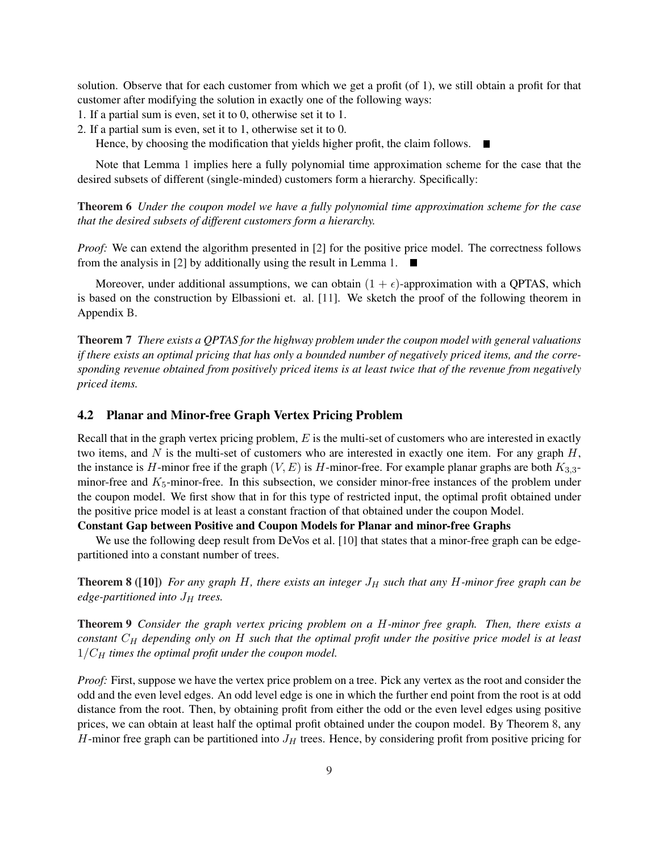solution. Observe that for each customer from which we get a profit (of 1), we still obtain a profit for that customer after modifying the solution in exactly one of the following ways:

- 1. If a partial sum is even, set it to 0, otherwise set it to 1.
- 2. If a partial sum is even, set it to 1, otherwise set it to 0.

Hence, by choosing the modification that yields higher profit, the claim follows.  $\blacksquare$ 

Note that Lemma 1 implies here a fully polynomial time approximation scheme for the case that the desired subsets of different (single-minded) customers form a hierarchy. Specifically:

Theorem 6 *Under the coupon model we have a fully polynomial time approximation scheme for the case that the desired subsets of different customers form a hierarchy.*

*Proof:* We can extend the algorithm presented in [2] for the positive price model. The correctness follows from the analysis in [2] by additionally using the result in Lemma 1.  $\blacksquare$ 

Moreover, under additional assumptions, we can obtain  $(1 + \epsilon)$ -approximation with a QPTAS, which is based on the construction by Elbassioni et. al. [11]. We sketch the proof of the following theorem in Appendix B.

Theorem 7 *There exists a QPTAS for the highway problem under the coupon model with general valuations if there exists an optimal pricing that has only a bounded number of negatively priced items, and the corresponding revenue obtained from positively priced items is at least twice that of the revenue from negatively priced items.*

#### 4.2 Planar and Minor-free Graph Vertex Pricing Problem

Recall that in the graph vertex pricing problem,  $E$  is the multi-set of customers who are interested in exactly two items, and  $N$  is the multi-set of customers who are interested in exactly one item. For any graph  $H$ , the instance is H-minor free if the graph  $(V, E)$  is H-minor-free. For example planar graphs are both  $K_{3,3}$ minor-free and  $K_5$ -minor-free. In this subsection, we consider minor-free instances of the problem under the coupon model. We first show that in for this type of restricted input, the optimal profit obtained under the positive price model is at least a constant fraction of that obtained under the coupon Model.

#### Constant Gap between Positive and Coupon Models for Planar and minor-free Graphs

We use the following deep result from DeVos et al. [10] that states that a minor-free graph can be edgepartitioned into a constant number of trees.

Theorem 8 ([10]) *For any graph H, there exists an integer*  $J_H$  *such that any H-minor free graph can be*  $edge$ -partitioned into  $J_H$  trees.

Theorem 9 *Consider the graph vertex pricing problem on a* H*-minor free graph. Then, there exists a constant*  $C_H$  *depending only on* H *such that the optimal profit under the positive price model is at least*  $1/C_H$  *times the optimal profit under the coupon model.* 

*Proof:* First, suppose we have the vertex price problem on a tree. Pick any vertex as the root and consider the odd and the even level edges. An odd level edge is one in which the further end point from the root is at odd distance from the root. Then, by obtaining profit from either the odd or the even level edges using positive prices, we can obtain at least half the optimal profit obtained under the coupon model. By Theorem 8, any H-minor free graph can be partitioned into  $J_H$  trees. Hence, by considering profit from positive pricing for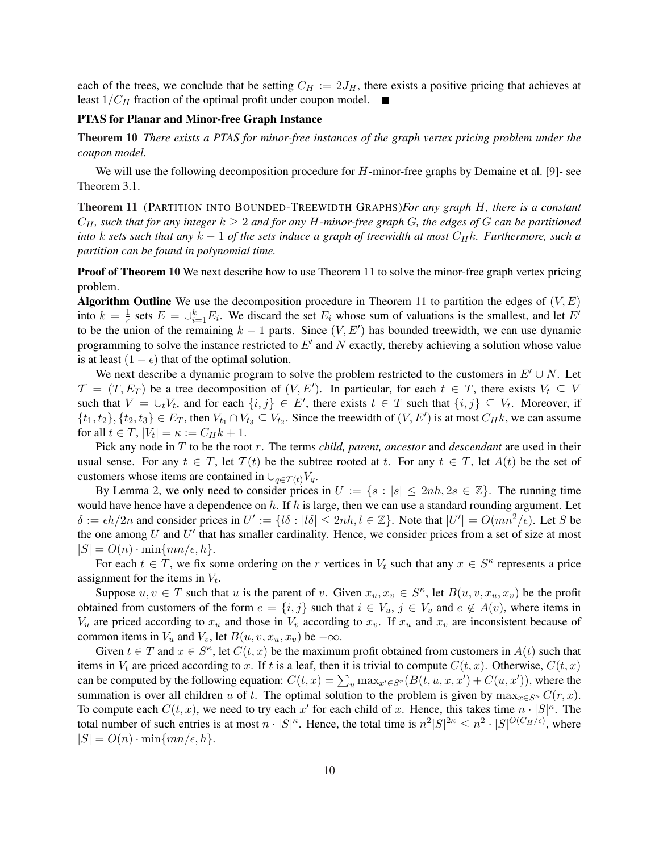each of the trees, we conclude that be setting  $C_H := 2J_H$ , there exists a positive pricing that achieves at least  $1/C_H$  fraction of the optimal profit under coupon model.  $\blacksquare$ 

#### PTAS for Planar and Minor-free Graph Instance

Theorem 10 *There exists a PTAS for minor-free instances of the graph vertex pricing problem under the coupon model.*

We will use the following decomposition procedure for  $H$ -minor-free graphs by Demaine et al. [9]- see Theorem 3.1.

Theorem 11 (PARTITION INTO BOUNDED-TREEWIDTH GRAPHS)*For any graph* H*, there is a constant*  $C_H$ , such that for any integer  $k \geq 2$  and for any H-minor-free graph G, the edges of G can be partitioned *into* k sets such that any  $k - 1$  of the sets induce a graph of treewidth at most  $C_Hk$ . Furthermore, such a *partition can be found in polynomial time.*

**Proof of Theorem 10** We next describe how to use Theorem 11 to solve the minor-free graph vertex pricing problem.

**Algorithm Outline** We use the decomposition procedure in Theorem 11 to partition the edges of  $(V, E)$ into  $k = \frac{1}{6}$  $\frac{1}{\epsilon}$  sets  $E = \bigcup_{i=1}^{k} E_i$ . We discard the set  $E_i$  whose sum of valuations is the smallest, and let  $E'$ to be the union of the remaining  $k - 1$  parts. Since  $(V, E')$  has bounded treewidth, we can use dynamic programming to solve the instance restricted to  $E'$  and N exactly, thereby achieving a solution whose value is at least  $(1 - \epsilon)$  that of the optimal solution.

We next describe a dynamic program to solve the problem restricted to the customers in  $E' \cup N$ . Let  $\mathcal{T} = (T, E_T)$  be a tree decomposition of  $(V, E')$ . In particular, for each  $t \in T$ , there exists  $V_t \subseteq V$ such that  $V = \bigcup_t V_t$ , and for each  $\{i, j\} \in E'$ , there exists  $t \in T$  such that  $\{i, j\} \subseteq V_t$ . Moreover, if  $\{t_1, t_2\}, \{t_2, t_3\} \in E_T$ , then  $V_{t_1} \cap V_{t_3} \subseteq V_{t_2}$ . Since the treewidth of  $(V, E')$  is at most  $C_H k$ , we can assume for all  $t \in T$ ,  $|V_t| = \kappa := C_H k + 1$ .

Pick any node in T to be the root r. The terms *child, parent, ancestor* and *descendant* are used in their usual sense. For any  $t \in T$ , let  $T(t)$  be the subtree rooted at t. For any  $t \in T$ , let  $A(t)$  be the set of customers whose items are contained in  $\bigcup_{q \in \mathcal{T}(t)} V_q$ .

By Lemma 2, we only need to consider prices in  $U := \{s : |s| \leq 2nh, 2s \in \mathbb{Z}\}\.$  The running time would have hence have a dependence on h. If h is large, then we can use a standard rounding argument. Let  $\delta := \epsilon h/2n$  and consider prices in  $U' := \{ l\delta : |l\delta| \leq 2nh, l \in \mathbb{Z} \}$ . Note that  $|U'| = O(mn^2/\epsilon)$ . Let S be the one among  $U$  and  $U'$  that has smaller cardinality. Hence, we consider prices from a set of size at most  $|S| = O(n) \cdot \min\{mn/\epsilon, h\}.$ 

For each  $t \in T$ , we fix some ordering on the r vertices in  $V_t$  such that any  $x \in S^{\kappa}$  represents a price assignment for the items in  $V_t$ .

Suppose  $u, v \in T$  such that u is the parent of v. Given  $x_u, x_v \in S^{\kappa}$ , let  $B(u, v, x_u, x_v)$  be the profit obtained from customers of the form  $e = \{i, j\}$  such that  $i \in V_u$ ,  $j \in V_v$  and  $e \notin A(v)$ , where items in  $V_u$  are priced according to  $x_u$  and those in  $V_v$  according to  $x_v$ . If  $x_u$  and  $x_v$  are inconsistent because of common items in  $V_u$  and  $V_v$ , let  $B(u, v, x_u, x_v)$  be  $-\infty$ .

Given  $t \in T$  and  $x \in S^{\kappa}$ , let  $C(t, x)$  be the maximum profit obtained from customers in  $A(t)$  such that items in  $V_t$  are priced according to x. If t is a leaf, then it is trivial to compute  $C(t, x)$ . Otherwise,  $C(t, x)$ can be computed by the following equation:  $C(t, x) = \sum_{u} \max_{x' \in S} [B(t, u, x, x') + C(u, x')]$ , where the summation is over all children u of t. The optimal solution to the problem is given by  $\max_{x \in S^{\kappa}} C(r, x)$ . To compute each  $C(t, x)$ , we need to try each  $x'$  for each child of x. Hence, this takes time  $n \cdot |S|^{\kappa}$ . The total number of such entries is at most  $n \cdot |S|^{\kappa}$ . Hence, the total time is  $n^2|S|^{2\kappa} \leq n^2 \cdot |S|^{O(C_H/\epsilon)}$ , where  $|S| = O(n) \cdot \min\{mn/\epsilon, h\}.$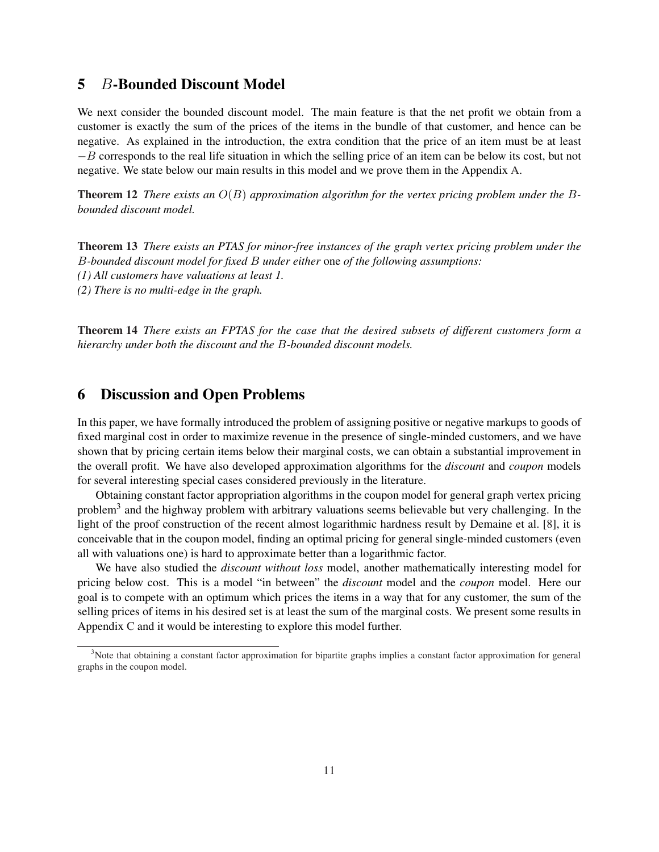# 5 B-Bounded Discount Model

We next consider the bounded discount model. The main feature is that the net profit we obtain from a customer is exactly the sum of the prices of the items in the bundle of that customer, and hence can be negative. As explained in the introduction, the extra condition that the price of an item must be at least −B corresponds to the real life situation in which the selling price of an item can be below its cost, but not negative. We state below our main results in this model and we prove them in the Appendix A.

Theorem 12 *There exists an* O(B) *approximation algorithm for the vertex pricing problem under the* B*bounded discount model.*

Theorem 13 *There exists an PTAS for minor-free instances of the graph vertex pricing problem under the* B*-bounded discount model for fixed* B *under either* one *of the following assumptions: (1) All customers have valuations at least 1. (2) There is no multi-edge in the graph.*

Theorem 14 *There exists an FPTAS for the case that the desired subsets of different customers form a hierarchy under both the discount and the* B*-bounded discount models.*

### 6 Discussion and Open Problems

In this paper, we have formally introduced the problem of assigning positive or negative markups to goods of fixed marginal cost in order to maximize revenue in the presence of single-minded customers, and we have shown that by pricing certain items below their marginal costs, we can obtain a substantial improvement in the overall profit. We have also developed approximation algorithms for the *discount* and *coupon* models for several interesting special cases considered previously in the literature.

Obtaining constant factor appropriation algorithms in the coupon model for general graph vertex pricing problem<sup>3</sup> and the highway problem with arbitrary valuations seems believable but very challenging. In the light of the proof construction of the recent almost logarithmic hardness result by Demaine et al. [8], it is conceivable that in the coupon model, finding an optimal pricing for general single-minded customers (even all with valuations one) is hard to approximate better than a logarithmic factor.

We have also studied the *discount without loss* model, another mathematically interesting model for pricing below cost. This is a model "in between" the *discount* model and the *coupon* model. Here our goal is to compete with an optimum which prices the items in a way that for any customer, the sum of the selling prices of items in his desired set is at least the sum of the marginal costs. We present some results in Appendix C and it would be interesting to explore this model further.

<sup>&</sup>lt;sup>3</sup>Note that obtaining a constant factor approximation for bipartite graphs implies a constant factor approximation for general graphs in the coupon model.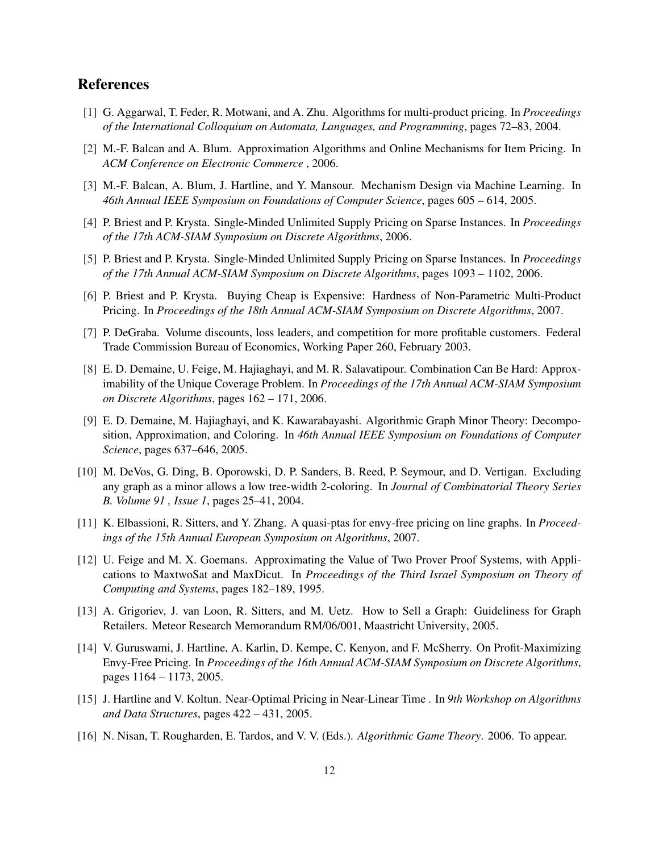# References

- [1] G. Aggarwal, T. Feder, R. Motwani, and A. Zhu. Algorithms for multi-product pricing. In *Proceedings of the International Colloquium on Automata, Languages, and Programming*, pages 72–83, 2004.
- [2] M.-F. Balcan and A. Blum. Approximation Algorithms and Online Mechanisms for Item Pricing. In *ACM Conference on Electronic Commerce* , 2006.
- [3] M.-F. Balcan, A. Blum, J. Hartline, and Y. Mansour. Mechanism Design via Machine Learning. In *46th Annual IEEE Symposium on Foundations of Computer Science*, pages 605 – 614, 2005.
- [4] P. Briest and P. Krysta. Single-Minded Unlimited Supply Pricing on Sparse Instances. In *Proceedings of the 17th ACM-SIAM Symposium on Discrete Algorithms*, 2006.
- [5] P. Briest and P. Krysta. Single-Minded Unlimited Supply Pricing on Sparse Instances. In *Proceedings of the 17th Annual ACM-SIAM Symposium on Discrete Algorithms*, pages 1093 – 1102, 2006.
- [6] P. Briest and P. Krysta. Buying Cheap is Expensive: Hardness of Non-Parametric Multi-Product Pricing. In *Proceedings of the 18th Annual ACM-SIAM Symposium on Discrete Algorithms*, 2007.
- [7] P. DeGraba. Volume discounts, loss leaders, and competition for more profitable customers. Federal Trade Commission Bureau of Economics, Working Paper 260, February 2003.
- [8] E. D. Demaine, U. Feige, M. Hajiaghayi, and M. R. Salavatipour. Combination Can Be Hard: Approximability of the Unique Coverage Problem. In *Proceedings of the 17th Annual ACM-SIAM Symposium on Discrete Algorithms*, pages 162 – 171, 2006.
- [9] E. D. Demaine, M. Hajiaghayi, and K. Kawarabayashi. Algorithmic Graph Minor Theory: Decomposition, Approximation, and Coloring. In *46th Annual IEEE Symposium on Foundations of Computer Science*, pages 637–646, 2005.
- [10] M. DeVos, G. Ding, B. Oporowski, D. P. Sanders, B. Reed, P. Seymour, and D. Vertigan. Excluding any graph as a minor allows a low tree-width 2-coloring. In *Journal of Combinatorial Theory Series B. Volume 91 , Issue 1*, pages 25–41, 2004.
- [11] K. Elbassioni, R. Sitters, and Y. Zhang. A quasi-ptas for envy-free pricing on line graphs. In *Proceedings of the 15th Annual European Symposium on Algorithms*, 2007.
- [12] U. Feige and M. X. Goemans. Approximating the Value of Two Prover Proof Systems, with Applications to MaxtwoSat and MaxDicut. In *Proceedings of the Third Israel Symposium on Theory of Computing and Systems*, pages 182–189, 1995.
- [13] A. Grigoriev, J. van Loon, R. Sitters, and M. Uetz. How to Sell a Graph: Guideliness for Graph Retailers. Meteor Research Memorandum RM/06/001, Maastricht University, 2005.
- [14] V. Guruswami, J. Hartline, A. Karlin, D. Kempe, C. Kenyon, and F. McSherry. On Profit-Maximizing Envy-Free Pricing. In *Proceedings of the 16th Annual ACM-SIAM Symposium on Discrete Algorithms*, pages 1164 – 1173, 2005.
- [15] J. Hartline and V. Koltun. Near-Optimal Pricing in Near-Linear Time . In *9th Workshop on Algorithms and Data Structures*, pages 422 – 431, 2005.
- [16] N. Nisan, T. Rougharden, E. Tardos, and V. V. (Eds.). *Algorithmic Game Theory*. 2006. To appear.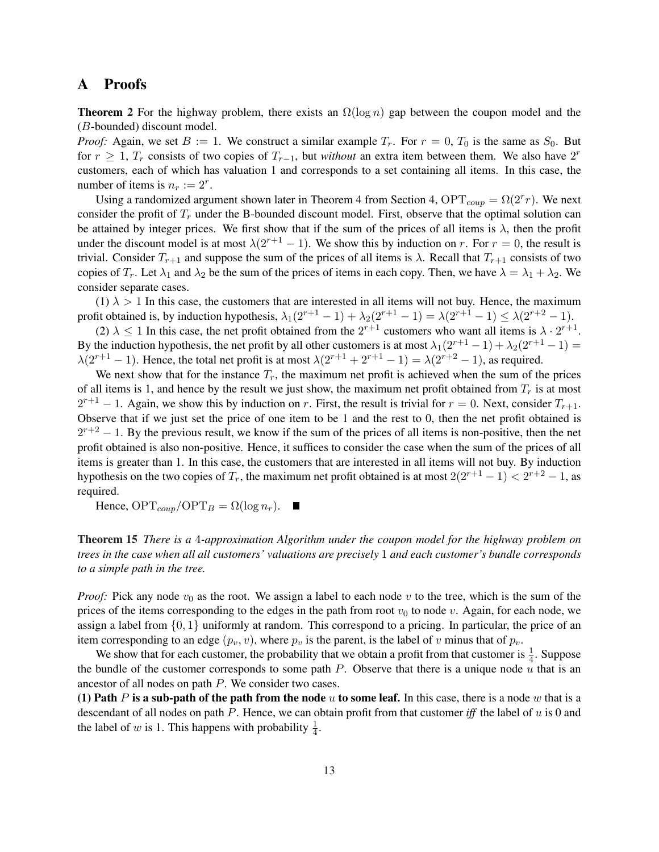# A Proofs

**Theorem 2** For the highway problem, there exists an  $\Omega(\log n)$  gap between the coupon model and the (B-bounded) discount model.

*Proof:* Again, we set  $B := 1$ . We construct a similar example  $T_r$ . For  $r = 0$ ,  $T_0$  is the same as  $S_0$ . But for  $r \geq 1$ ,  $T_r$  consists of two copies of  $T_{r-1}$ , but *without* an extra item between them. We also have 2<sup>r</sup> customers, each of which has valuation 1 and corresponds to a set containing all items. In this case, the number of items is  $n_r := 2^r$ .

Using a randomized argument shown later in Theorem 4 from Section 4,  $\text{OPT}_{coup} = \Omega(2^r r)$ . We next consider the profit of  $T_r$  under the B-bounded discount model. First, observe that the optimal solution can be attained by integer prices. We first show that if the sum of the prices of all items is  $\lambda$ , then the profit under the discount model is at most  $\lambda(2^{r+1} - 1)$ . We show this by induction on r. For  $r = 0$ , the result is trivial. Consider  $T_{r+1}$  and suppose the sum of the prices of all items is  $\lambda$ . Recall that  $T_{r+1}$  consists of two copies of  $T_r$ . Let  $\lambda_1$  and  $\lambda_2$  be the sum of the prices of items in each copy. Then, we have  $\lambda = \lambda_1 + \lambda_2$ . We consider separate cases.

(1)  $\lambda > 1$  In this case, the customers that are interested in all items will not buy. Hence, the maximum profit obtained is, by induction hypothesis,  $\lambda_1(2^{r+1}-1)+\lambda_2(2^{r+1}-1)=\lambda(2^{r+1}-1)\leq \lambda(2^{r+2}-1)$ .

(2)  $\lambda \leq 1$  In this case, the net profit obtained from the  $2^{r+1}$  customers who want all items is  $\lambda \cdot 2^{r+1}$ . By the induction hypothesis, the net profit by all other customers is at most  $\lambda_1(2^{r+1}-1) + \lambda_2(2^{r+1}-1) =$  $\lambda(2^{r+1}-1)$ . Hence, the total net profit is at most  $\lambda(2^{r+1}+2^{r+1}-1) = \lambda(2^{r+2}-1)$ , as required.

We next show that for the instance  $T_r$ , the maximum net profit is achieved when the sum of the prices of all items is 1, and hence by the result we just show, the maximum net profit obtained from  $T_r$  is at most  $2^{r+1} - 1$ . Again, we show this by induction on r. First, the result is trivial for  $r = 0$ . Next, consider  $T_{r+1}$ . Observe that if we just set the price of one item to be 1 and the rest to 0, then the net profit obtained is  $2^{r+2} - 1$ . By the previous result, we know if the sum of the prices of all items is non-positive, then the net profit obtained is also non-positive. Hence, it suffices to consider the case when the sum of the prices of all items is greater than 1. In this case, the customers that are interested in all items will not buy. By induction hypothesis on the two copies of  $T_r$ , the maximum net profit obtained is at most  $2(2^{r+1}-1) < 2^{r+2}-1$ , as required.

Hence,  $\text{OPT}_{coup}/\text{OPT}_B = \Omega(\log n_r)$ .  $\blacksquare$ 

Theorem 15 *There is a* 4*-approximation Algorithm under the coupon model for the highway problem on trees in the case when all all customers' valuations are precisely* 1 *and each customer's bundle corresponds to a simple path in the tree.*

*Proof:* Pick any node  $v_0$  as the root. We assign a label to each node v to the tree, which is the sum of the prices of the items corresponding to the edges in the path from root  $v_0$  to node v. Again, for each node, we assign a label from  $\{0, 1\}$  uniformly at random. This correspond to a pricing. In particular, the price of an item corresponding to an edge  $(p_v, v)$ , where  $p_v$  is the parent, is the label of v minus that of  $p_v$ .

We show that for each customer, the probability that we obtain a profit from that customer is  $\frac{1}{4}$ . Suppose the bundle of the customer corresponds to some path  $P$ . Observe that there is a unique node  $u$  that is an ancestor of all nodes on path P. We consider two cases.

(1) Path P is a sub-path of the path from the node u to some leaf. In this case, there is a node w that is a descendant of all nodes on path P. Hence, we can obtain profit from that customer *iff* the label of u is 0 and the label of w is 1. This happens with probability  $\frac{1}{4}$ .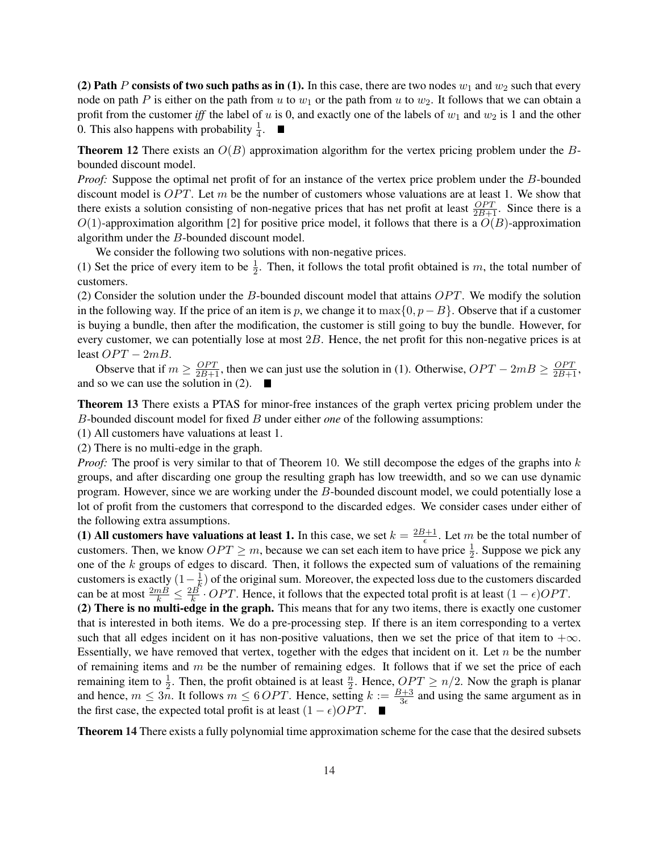(2) Path P consists of two such paths as in (1). In this case, there are two nodes  $w_1$  and  $w_2$  such that every node on path P is either on the path from u to  $w_1$  or the path from u to  $w_2$ . It follows that we can obtain a profit from the customer *iff* the label of u is 0, and exactly one of the labels of  $w_1$  and  $w_2$  is 1 and the other 0. This also happens with probability  $\frac{1}{4}$ .

**Theorem 12** There exists an  $O(B)$  approximation algorithm for the vertex pricing problem under the Bbounded discount model.

*Proof:* Suppose the optimal net profit of for an instance of the vertex price problem under the B-bounded discount model is  $OPT$ . Let m be the number of customers whose valuations are at least 1. We show that there exists a solution consisting of non-negative prices that has net profit at least  $\frac{OPT}{2B+1}$ . Since there is a  $O(1)$ -approximation algorithm [2] for positive price model, it follows that there is a  $O(B)$ -approximation algorithm under the B-bounded discount model.

We consider the following two solutions with non-negative prices.

(1) Set the price of every item to be  $\frac{1}{2}$ . Then, it follows the total profit obtained is m, the total number of customers.

(2) Consider the solution under the B-bounded discount model that attains  $OPT$ . We modify the solution in the following way. If the price of an item is p, we change it to max $\{0, p-B\}$ . Observe that if a customer is buying a bundle, then after the modification, the customer is still going to buy the bundle. However, for every customer, we can potentially lose at most 2B. Hence, the net profit for this non-negative prices is at least  $OPT - 2mB$ .

Observe that if  $m \ge \frac{OPT}{2B+1}$ , then we can just use the solution in (1). Otherwise,  $OPT - 2mB \ge \frac{OPT}{2B+1}$ , and so we can use the solution in (2).

Theorem 13 There exists a PTAS for minor-free instances of the graph vertex pricing problem under the B-bounded discount model for fixed B under either *one* of the following assumptions:

(1) All customers have valuations at least 1.

(2) There is no multi-edge in the graph.

*Proof:* The proof is very similar to that of Theorem 10. We still decompose the edges of the graphs into k groups, and after discarding one group the resulting graph has low treewidth, and so we can use dynamic program. However, since we are working under the B-bounded discount model, we could potentially lose a lot of profit from the customers that correspond to the discarded edges. We consider cases under either of the following extra assumptions.

(1) All customers have valuations at least 1. In this case, we set  $k = \frac{2B+1}{5}$  $\frac{B+1}{\epsilon}$ . Let m be the total number of customers. Then, we know  $OPT \geq m$ , because we can set each item to have price  $\frac{1}{2}$ . Suppose we pick any one of the k groups of edges to discard. Then, it follows the expected sum of valuations of the remaining customers is exactly  $(1 - \frac{1}{k})$  $\frac{1}{k}$ ) of the original sum. Moreover, the expected loss due to the customers discarded can be at most  $\frac{2mB}{k} \leq \frac{2B}{k}$  $\frac{dB}{k}$  · OPT. Hence, it follows that the expected total profit is at least  $(1 - \epsilon)OPT$ .

(2) There is no multi-edge in the graph. This means that for any two items, there is exactly one customer that is interested in both items. We do a pre-processing step. If there is an item corresponding to a vertex such that all edges incident on it has non-positive valuations, then we set the price of that item to  $+\infty$ . Essentially, we have removed that vertex, together with the edges that incident on it. Let  $n$  be the number of remaining items and  $m$  be the number of remaining edges. It follows that if we set the price of each remaining item to  $\frac{1}{2}$ . Then, the profit obtained is at least  $\frac{n}{2}$ . Hence,  $OPT \ge n/2$ . Now the graph is planar and hence,  $m \leq 3n$ . It follows  $m \leq 6$  *OPT*. Hence, setting  $k := \frac{B+3}{3\epsilon}$  and using the same argument as in the first case, the expected total profit is at least  $(1 - \epsilon)OPT$ . ■

Theorem 14 There exists a fully polynomial time approximation scheme for the case that the desired subsets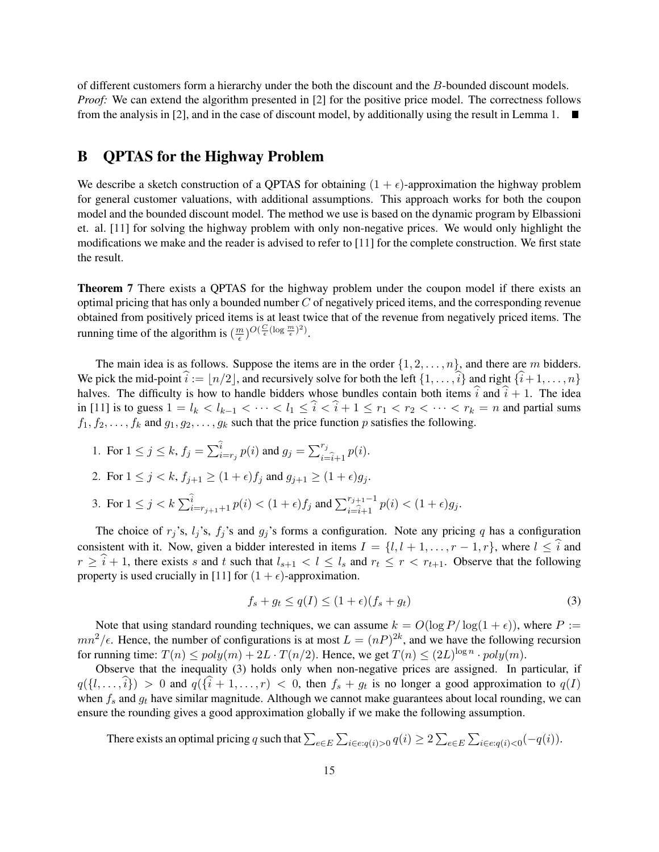of different customers form a hierarchy under the both the discount and the B-bounded discount models. *Proof:* We can extend the algorithm presented in [2] for the positive price model. The correctness follows from the analysis in [2], and in the case of discount model, by additionally using the result in Lemma 1.  $\blacksquare$ 

## B QPTAS for the Highway Problem

We describe a sketch construction of a QPTAS for obtaining  $(1 + \epsilon)$ -approximation the highway problem for general customer valuations, with additional assumptions. This approach works for both the coupon model and the bounded discount model. The method we use is based on the dynamic program by Elbassioni et. al. [11] for solving the highway problem with only non-negative prices. We would only highlight the modifications we make and the reader is advised to refer to [11] for the complete construction. We first state the result.

Theorem 7 There exists a QPTAS for the highway problem under the coupon model if there exists an optimal pricing that has only a bounded number  $C$  of negatively priced items, and the corresponding revenue obtained from positively priced items is at least twice that of the revenue from negatively priced items. The running time of the algorithm is  $\left(\frac{m}{\epsilon}\right)$  $\frac{m}{\epsilon}$ ) $O(\frac{C}{\epsilon}(\log \frac{m}{\epsilon})^2)$ .

The main idea is as follows. Suppose the items are in the order  $\{1, 2, \ldots, n\}$ , and there are m bidders. We pick the mid-point  $\hat{i} := |n/2|$ , and recursively solve for both the left  $\{1, \ldots, \hat{i}\}$  and right  $\{\hat{i}+ 1, \ldots, n\}$ halves. The difficulty is how to handle bidders whose bundles contain both items  $\hat{i}$  and  $\hat{i} + 1$ . The idea in [11] is to guess  $1 = l_k < l_{k-1} < \cdots < l_1 \leq \hat{i} < \hat{i} + 1 \leq r_1 < r_2 < \cdots < r_k = n$  and partial sums  $f_1, f_2, \ldots, f_k$  and  $g_1, g_2, \ldots, g_k$  such that the price function p satisfies the following.

1. For  $1 \leq j \leq k$ ,  $f_j = \sum_{i=1}^{k}$  $\sum_{i=r_j}^{i} p(i)$  and  $g_j = \sum_{i=1}^{r_j}$  $\sum_{i=\hat{i}+1}^{r_j} p(i)$ .

2. For 
$$
1 \le j < k
$$
,  $f_{j+1} \ge (1 + \epsilon)f_j$  and  $g_{j+1} \ge (1 + \epsilon)g_j$ .

3. For  $1 \le j < k$   $\sum_{i=r_{j+1}+1}^{\widehat{i}} p(i) < (1+\epsilon) f_j$  and  $\sum_{i=\widehat{i}+1}^{r_{j+1}-1} p(i) < (1+\epsilon) g_j$ .

The choice of  $r_j$ 's,  $l_j$ 's,  $f_j$ 's and  $g_j$ 's forms a configuration. Note any pricing q has a configuration consistent with it. Now, given a bidder interested in items  $I = \{l, l + 1, \ldots, r - 1, r\}$ , where  $l \leq \hat{i}$  and  $r \geq \hat{i} + 1$ , there exists s and t such that  $l_{s+1} < l \leq l_s$  and  $r_t \leq r < r_{t+1}$ . Observe that the following property is used crucially in [11] for  $(1 + \epsilon)$ -approximation.

$$
f_s + g_t \le q(I) \le (1 + \epsilon)(f_s + g_t) \tag{3}
$$

Note that using standard rounding techniques, we can assume  $k = O(\log P/\log(1+\epsilon))$ , where  $P :=$  $mn^2/\epsilon$ . Hence, the number of configurations is at most  $L = (nP)^{2k}$ , and we have the following recursion for running time:  $T(n) \leq poly(m) + 2L \cdot T(n/2)$ . Hence, we get  $T(n) \leq (2L)^{\log n} \cdot poly(m)$ .

Observe that the inequality (3) holds only when non-negative prices are assigned. In particular, if  $q(\{l, \ldots, \hat{i}\}) > 0$  and  $q(\{\hat{i} + 1, \ldots, r\}) < 0$ , then  $f_s + g_t$  is no longer a good approximation to  $q(I)$ when  $f_s$  and  $g_t$  have similar magnitude. Although we cannot make guarantees about local rounding, we can ensure the rounding gives a good approximation globally if we make the following assumption.

There exists an optimal pricing q such that  $\sum_{e \in E}$  $\overline{ }$  $_{i \in e: q(i) > 0} q(i) \geq 2$  $\overline{ }$ e∈E  $\overline{ }$  $_{i\in e:q(i)<0}(-q(i)).$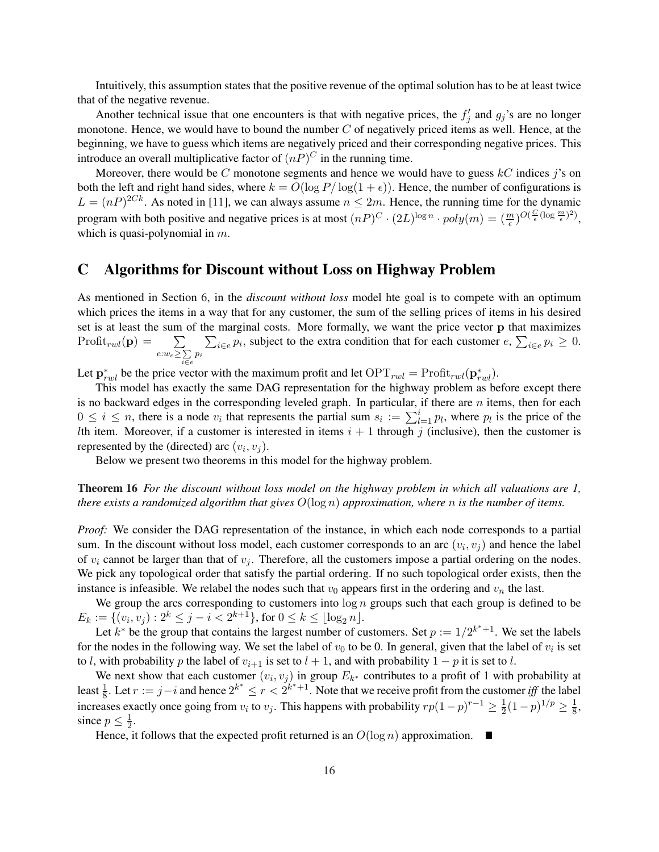Intuitively, this assumption states that the positive revenue of the optimal solution has to be at least twice that of the negative revenue.

Another technical issue that one encounters is that with negative prices, the  $f'_j$  and  $g_j$ 's are no longer monotone. Hence, we would have to bound the number  $C$  of negatively priced items as well. Hence, at the beginning, we have to guess which items are negatively priced and their corresponding negative prices. This introduce an overall multiplicative factor of  $(nP)^C$  in the running time.

Moreover, there would be C monotone segments and hence we would have to guess  $kC$  indices j's on both the left and right hand sides, where  $k = O(\log P/\log(1+\epsilon))$ . Hence, the number of configurations is  $L = (nP)^{2Ck}$ . As noted in [11], we can always assume  $n \leq 2m$ . Hence, the running time for the dynamic program with both positive and negative prices is at most  $(nP)^C \cdot (2L)^{\log n} \cdot poly(m) = (\frac{m}{\epsilon})^{O(\frac{C}{\epsilon}(\log \frac{m}{\epsilon})^2)}$ , which is quasi-polynomial in  $m$ .

### C Algorithms for Discount without Loss on Highway Problem

As mentioned in Section 6, in the *discount without loss* model hte goal is to compete with an optimum which prices the items in a way that for any customer, the sum of the selling prices of items in his desired set is at least the sum of the marginal costs. More formally, we want the price vector **p** that maximizes set is at least the sum<br>Profit<sub>rwl</sub>(**p**) =  $\sum$  $e: w_e \geq \sum$  $\sum_{i \in e} \sum_{p_i} p_i$ , subject to the extra condition that for each customer  $e$ ,  $\sum_{i \in e} p_i \geq 0$ .

Let  $\mathbf{p}_{rwl}^*$  be the price vector with the maximum profit and let  $\text{OPT}_{rwl} = \text{Profit}_{rwl}(\mathbf{p}_{rwl}^*)$ .

This model has exactly the same DAG representation for the highway problem as before except there is no backward edges in the corresponding leveled graph. In particular, if there are  $n$  items, then for each is no backward edges in the corresponding leveled graph. In particular, if there are *n* hems, then for each  $0 \le i \le n$ , there is a node  $v_i$  that represents the partial sum  $s_i := \sum_{l=1}^i p_l$ , where  $p_l$  is the price of the Ith item. Moreover, if a customer is interested in items  $i + 1$  through j (inclusive), then the customer is represented by the (directed) arc  $(v_i, v_j)$ .

Below we present two theorems in this model for the highway problem.

Theorem 16 *For the discount without loss model on the highway problem in which all valuations are 1, there exists a randomized algorithm that gives* O(log n) *approximation, where* n *is the number of items.*

*Proof:* We consider the DAG representation of the instance, in which each node corresponds to a partial sum. In the discount without loss model, each customer corresponds to an arc  $(v_i, v_j)$  and hence the label of  $v_i$  cannot be larger than that of  $v_j$ . Therefore, all the customers impose a partial ordering on the nodes. We pick any topological order that satisfy the partial ordering. If no such topological order exists, then the instance is infeasible. We relabel the nodes such that  $v_0$  appears first in the ordering and  $v_n$  the last.

We group the arcs corresponding to customers into  $\log n$  groups such that each group is defined to be  $E_k := \{ (v_i, v_j) : 2^k \leq j - i < 2^{k+1} \}, \text{ for } 0 \leq k \leq \lfloor \log_2 n \rfloor.$ 

Let  $k^*$  be the group that contains the largest number of customers. Set  $p := 1/2^{k^*+1}$ . We set the labels for the nodes in the following way. We set the label of  $v_0$  to be 0. In general, given that the label of  $v_i$  is set to l, with probability p the label of  $v_{i+1}$  is set to l + 1, and with probability  $1 - p$  it is set to l.

We next show that each customer  $(v_i, v_j)$  in group  $E_{k^*}$  contributes to a profit of 1 with probability at least  $\frac{1}{8}$ . Let  $r := j - i$  and hence  $2^{k^*} \le r < 2^{k^*+1}$ . Note that we receive profit from the customer *iff* the label increases exactly once going from  $v_i$  to  $v_j$ . This happens with probability  $rp(1-p)^{r-1} \geq \frac{1}{2}$  $\frac{1}{2}(1-p)^{1/p} \geq \frac{1}{8}$  $\frac{1}{8}$ , since  $p \leq \frac{1}{2}$  $\frac{1}{2}$ .

Hence, it follows that the expected profit returned is an  $O(\log n)$  approximation.